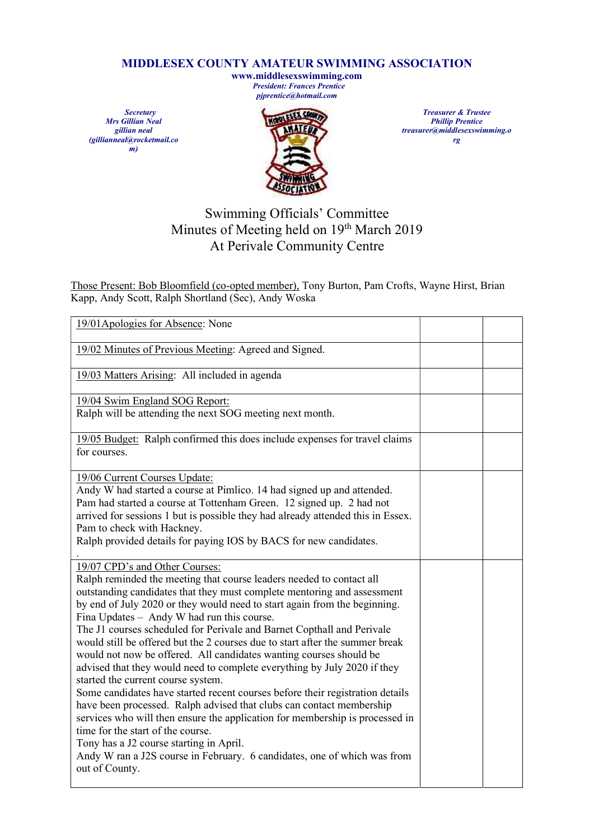## MIDDLESEX COUNTY AMATEUR SWIMMING ASSOCIATION

www.middlesexswimming.com President: Frances Prentice pjprentice@hotmail.com

**Secretary** Mrs Gillian Neal gillian neal (gillianneal@rocketmail.co  $\sum_{m}$ 



Treasurer & Trustee Phillip Prentice treasurer@middlesexswimming.o rg

## Swimming Officials' Committee Minutes of Meeting held on 19th March 2019 At Perivale Community Centre

Those Present: Bob Bloomfield (co-opted member), Tony Burton, Pam Crofts, Wayne Hirst, Brian Kapp, Andy Scott, Ralph Shortland (Sec), Andy Woska

| 19/01Apologies for Absence: None                                                                                                                                                                                                                                                                                                                                                                                                                                                                                                                                                                                                                                                                                                                                                                                                                                                                                                                                                                                                                                                      |  |
|---------------------------------------------------------------------------------------------------------------------------------------------------------------------------------------------------------------------------------------------------------------------------------------------------------------------------------------------------------------------------------------------------------------------------------------------------------------------------------------------------------------------------------------------------------------------------------------------------------------------------------------------------------------------------------------------------------------------------------------------------------------------------------------------------------------------------------------------------------------------------------------------------------------------------------------------------------------------------------------------------------------------------------------------------------------------------------------|--|
| 19/02 Minutes of Previous Meeting: Agreed and Signed.                                                                                                                                                                                                                                                                                                                                                                                                                                                                                                                                                                                                                                                                                                                                                                                                                                                                                                                                                                                                                                 |  |
| 19/03 Matters Arising: All included in agenda                                                                                                                                                                                                                                                                                                                                                                                                                                                                                                                                                                                                                                                                                                                                                                                                                                                                                                                                                                                                                                         |  |
| 19/04 Swim England SOG Report:<br>Ralph will be attending the next SOG meeting next month.                                                                                                                                                                                                                                                                                                                                                                                                                                                                                                                                                                                                                                                                                                                                                                                                                                                                                                                                                                                            |  |
| 19/05 Budget: Ralph confirmed this does include expenses for travel claims<br>for courses.                                                                                                                                                                                                                                                                                                                                                                                                                                                                                                                                                                                                                                                                                                                                                                                                                                                                                                                                                                                            |  |
| 19/06 Current Courses Update:<br>Andy W had started a course at Pimlico. 14 had signed up and attended.<br>Pam had started a course at Tottenham Green. 12 signed up. 2 had not<br>arrived for sessions 1 but is possible they had already attended this in Essex.<br>Pam to check with Hackney.<br>Ralph provided details for paying IOS by BACS for new candidates.                                                                                                                                                                                                                                                                                                                                                                                                                                                                                                                                                                                                                                                                                                                 |  |
| 19/07 CPD's and Other Courses:<br>Ralph reminded the meeting that course leaders needed to contact all<br>outstanding candidates that they must complete mentoring and assessment<br>by end of July 2020 or they would need to start again from the beginning.<br>Fina Updates - Andy W had run this course.<br>The J1 courses scheduled for Perivale and Barnet Copthall and Perivale<br>would still be offered but the 2 courses due to start after the summer break<br>would not now be offered. All candidates wanting courses should be<br>advised that they would need to complete everything by July 2020 if they<br>started the current course system.<br>Some candidates have started recent courses before their registration details<br>have been processed. Ralph advised that clubs can contact membership<br>services who will then ensure the application for membership is processed in<br>time for the start of the course.<br>Tony has a J2 course starting in April.<br>Andy W ran a J2S course in February. 6 candidates, one of which was from<br>out of County. |  |